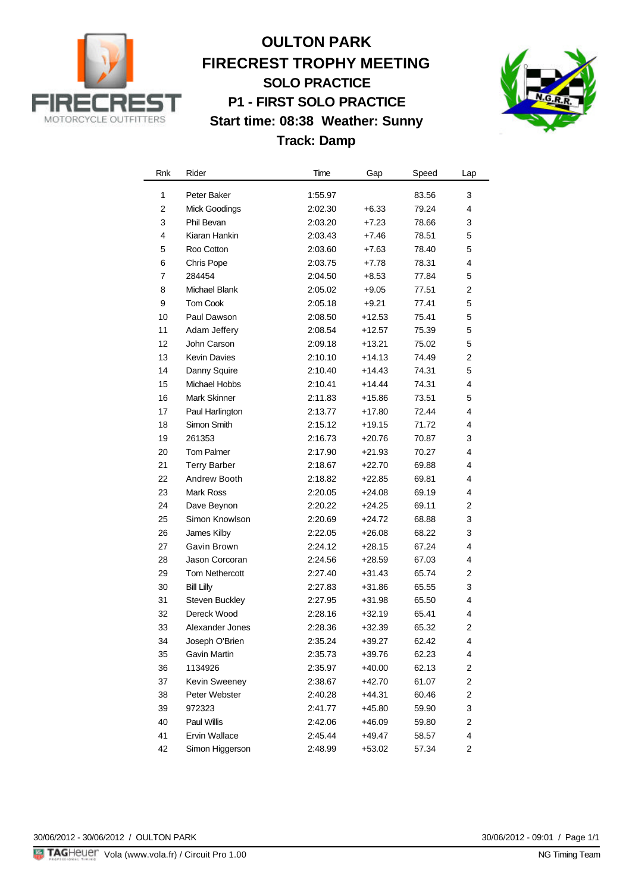

## **OULTON PARK FIRECREST TROPHY MEETING SOLO PRACTICE P1 - FIRST SOLO PRACTICE Start time: 08:38 Weather: Sunny Track: Damp**



| Rnk         | Rider                 | Time    | Gap      | Speed | Lap            |
|-------------|-----------------------|---------|----------|-------|----------------|
| 1           | Peter Baker           | 1:55.97 |          | 83.56 | 3              |
| $\mathbf 2$ | <b>Mick Goodings</b>  | 2:02.30 | $+6.33$  | 79.24 | 4              |
| 3           | Phil Bevan            | 2:03.20 | $+7.23$  | 78.66 | 3              |
| 4           | Kiaran Hankin         | 2:03.43 | $+7.46$  | 78.51 | 5              |
| 5           | Roo Cotton            | 2:03.60 | $+7.63$  | 78.40 | 5              |
| 6           | Chris Pope            | 2:03.75 | $+7.78$  | 78.31 | 4              |
| 7           | 284454                | 2:04.50 | $+8.53$  | 77.84 | 5              |
| 8           | Michael Blank         | 2:05.02 | $+9.05$  | 77.51 | 2              |
| 9           | <b>Tom Cook</b>       | 2:05.18 | $+9.21$  | 77.41 | 5              |
| 10          | Paul Dawson           | 2:08.50 | $+12.53$ | 75.41 | 5              |
| 11          | Adam Jeffery          | 2:08.54 | $+12.57$ | 75.39 | 5              |
| 12          | John Carson           | 2:09.18 | $+13.21$ | 75.02 | 5              |
| 13          | <b>Kevin Davies</b>   | 2:10.10 | $+14.13$ | 74.49 | 2              |
| 14          | Danny Squire          | 2:10.40 | $+14.43$ | 74.31 | 5              |
| 15          | Michael Hobbs         | 2:10.41 | +14.44   | 74.31 | 4              |
| 16          | <b>Mark Skinner</b>   | 2:11.83 | $+15.86$ | 73.51 | 5              |
| 17          | Paul Harlington       | 2:13.77 | $+17.80$ | 72.44 | 4              |
| 18          | Simon Smith           | 2:15.12 | $+19.15$ | 71.72 | 4              |
| 19          | 261353                | 2:16.73 | $+20.76$ | 70.87 | 3              |
| 20          | <b>Tom Palmer</b>     | 2:17.90 | $+21.93$ | 70.27 | 4              |
| 21          | <b>Terry Barber</b>   | 2:18.67 | $+22.70$ | 69.88 | 4              |
| 22          | Andrew Booth          | 2:18.82 | $+22.85$ | 69.81 | 4              |
| 23          | Mark Ross             | 2:20.05 | $+24.08$ | 69.19 | 4              |
| 24          | Dave Beynon           | 2:20.22 | $+24.25$ | 69.11 | 2              |
| 25          | Simon Knowlson        | 2:20.69 | $+24.72$ | 68.88 | 3              |
| 26          | James Kilby           | 2:22.05 | $+26.08$ | 68.22 | 3              |
| 27          | Gavin Brown           | 2:24.12 | $+28.15$ | 67.24 | 4              |
| 28          | Jason Corcoran        | 2:24.56 | $+28.59$ | 67.03 | 4              |
| 29          | <b>Tom Nethercott</b> | 2:27.40 | $+31.43$ | 65.74 | 2              |
| 30          | <b>Bill Lilly</b>     | 2:27.83 | $+31.86$ | 65.55 | 3              |
| 31          | Steven Buckley        | 2:27.95 | $+31.98$ | 65.50 | 4              |
| 32          | Dereck Wood           | 2:28.16 | $+32.19$ | 65.41 | 4              |
| 33          | Alexander Jones       | 2:28.36 | $+32.39$ | 65.32 | 2              |
| 34          | Joseph O'Brien        | 2:35.24 | $+39.27$ | 62.42 | 4              |
| 35          | Gavin Martin          | 2:35.73 | +39.76   | 62.23 | 4              |
| 36          | 1134926               | 2:35.97 | $+40.00$ | 62.13 | 2              |
| 37          | Kevin Sweeney         | 2:38.67 | +42.70   | 61.07 | 2              |
| 38          | Peter Webster         | 2:40.28 | $+44.31$ | 60.46 | 2              |
| 39          | 972323                | 2:41.77 | +45.80   | 59.90 | 3              |
| 40          | Paul Willis           | 2:42.06 | +46.09   | 59.80 | $\overline{c}$ |
| 41          | Ervin Wallace         | 2:45.44 | +49.47   | 58.57 | 4              |
| 42          | Simon Higgerson       | 2:48.99 | $+53.02$ | 57.34 | 2              |

30/06/2012 - 30/06/2012 / OULTON PARK

30/06/2012 - 09:01 / Page 1/1<br>NG Timing Team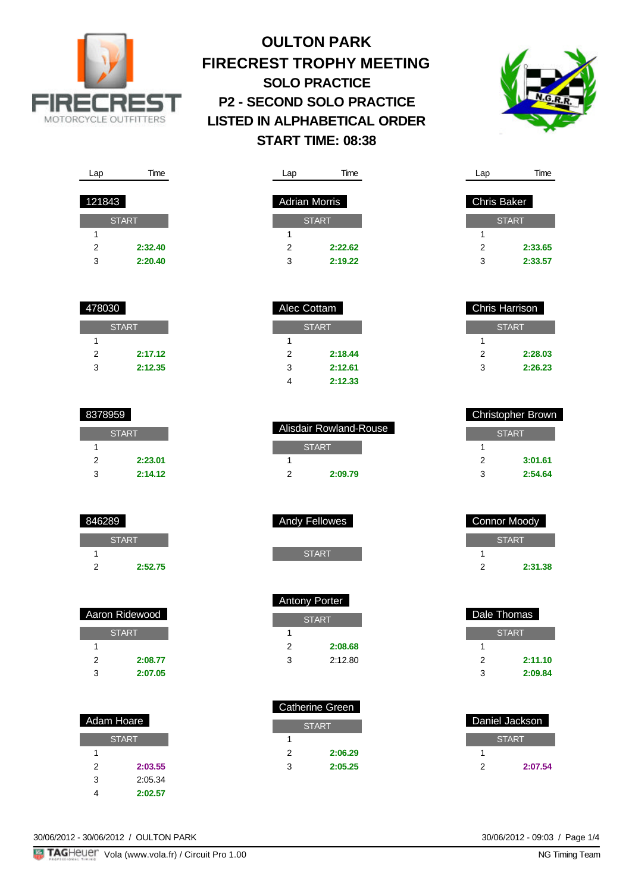



| Lap    | Time         |
|--------|--------------|
|        |              |
| 121843 |              |
|        |              |
|        | <b>START</b> |
| 1      |              |
| 2      | 2:32.40      |
| 3      | 2:20.40      |

| 478030 |              |
|--------|--------------|
|        | <b>START</b> |
| 1      |              |
| 2      | 2:17.12      |
| з      | 2:12.35      |

| 8378959 |              |
|---------|--------------|
|         | <b>START</b> |
| 1       |              |
| 2       | 2:23.01      |
| з       | 2:14.12      |

| 846289 |              |
|--------|--------------|
|        | <b>START</b> |
|        |              |
| 2      | 2:52.75      |

| Aaron Ridewood |  |  |
|----------------|--|--|
| <b>START</b>   |  |  |
|                |  |  |
|                |  |  |
|                |  |  |
|                |  |  |

| Adam Hoare   |  |  |
|--------------|--|--|
| <b>START</b> |  |  |
|              |  |  |
|              |  |  |
|              |  |  |
|              |  |  |
|              |  |  |

| <b>START</b> |         |  |
|--------------|---------|--|
| 1            |         |  |
| 2            | 2:22.62 |  |
| 3            | 2:19.22 |  |
|              |         |  |
|              |         |  |
|              |         |  |

Lap Time

Adrian Morris

| Alec Collani |         |  |  |
|--------------|---------|--|--|
| <b>START</b> |         |  |  |
| 1            |         |  |  |
| 2            | 2:18.44 |  |  |
| 3            | 2:12.61 |  |  |
|              | 2:12.33 |  |  |

| Alisdair Rowland-Rouse |  |
|------------------------|--|
| <b>START</b>           |  |
|                        |  |
| 2:09.79                |  |

| <b>Andy Fellowes</b> |
|----------------------|
|                      |

| <b>Antony Porter</b> |         |
|----------------------|---------|
| <b>START</b>         |         |
| 1                    |         |
| 2                    | 2:08.68 |
| 3                    | 2:12.80 |

| <b>Catherine Green</b> |         |
|------------------------|---------|
| <b>START</b>           |         |
|                        |         |
| 2                      | 2:06.29 |
|                        | 2:05.25 |

| Chris Baker |              |
|-------------|--------------|
|             | <b>START</b> |
|             |              |
| 2           | 2:33.65      |
| 3           | 2:33.57      |

Lap Time

| Chris Harrison |  |
|----------------|--|
| <b>START</b>   |  |
|                |  |
| 2:28.03        |  |
| 2:26.23        |  |
|                |  |

| <b>Christopher Brown</b> |  |
|--------------------------|--|
| <b>START</b>             |  |
|                          |  |
| 3:01.61                  |  |
| 2:54.64                  |  |
|                          |  |

| <b>Connor Moody</b> |         |
|---------------------|---------|
| <b>START</b>        |         |
|                     |         |
| 2                   | 2:31.38 |

| Dale Thomas  |         |
|--------------|---------|
| <b>START</b> |         |
|              |         |
| 2            | 2:11.10 |
| 3            | 2:09.84 |

| Daniel Jackson |              |
|----------------|--------------|
|                | <b>START</b> |
|                |              |
| 2              | 2:07.54      |

30/06/2012 - 30/06/2012 / OULTON PARK

30/06/2012 - 09:03 / Page 1/4<br>NG Timing Team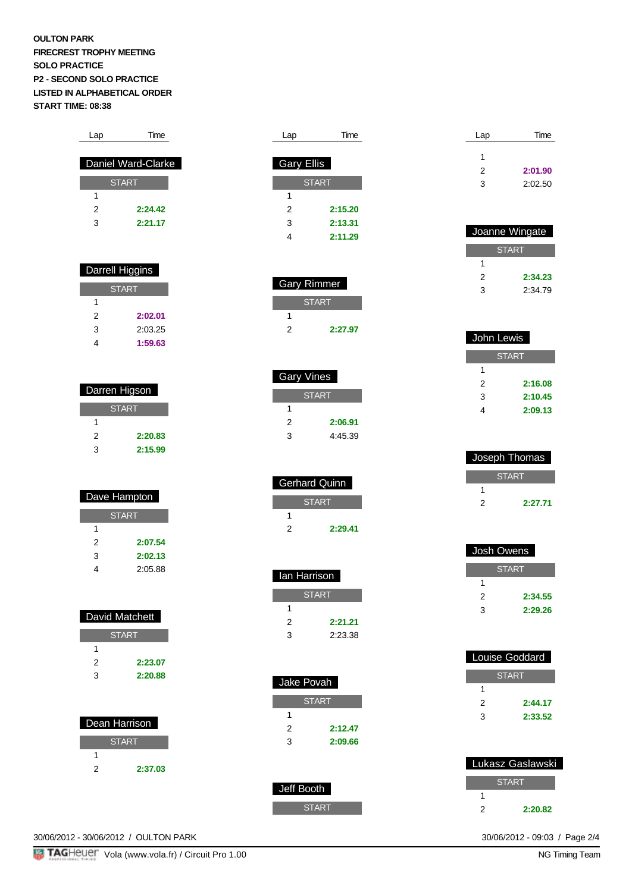| Lap | Time               |
|-----|--------------------|
|     |                    |
|     | Daniel Ward-Clarke |
|     | <b>START</b>       |
| 1   |                    |
| 2   | 2:24.42            |
| 3   | 2.21.17            |
|     |                    |

| Darrell Higgins |         |
|-----------------|---------|
| <b>START</b>    |         |
| 1               |         |
| 2               | 2:02.01 |
| 3               | 2:03.25 |
|                 | 1:59.63 |

| Darren Higson |         |
|---------------|---------|
| <b>START</b>  |         |
| 1             |         |
| 2             | 2:20.83 |
| 3             | 2:15.99 |

| Dave Hampton |         |
|--------------|---------|
| <b>START</b> |         |
|              |         |
| 2            | 2:07.54 |
| 3            | 2:02.13 |
|              | 2:05.88 |

| David Matchett |         |
|----------------|---------|
| <b>START</b>   |         |
| 1              |         |
| 2              | 2:23.07 |
| 3              | 2:20.88 |
|                |         |
|                |         |
| Dean Harrison  |         |
|                |         |

|   | <b>START</b> |
|---|--------------|
|   |              |
| 2 | 2:37.03      |

| ∟aµ               | ᠁            |
|-------------------|--------------|
| <b>Gary Ellis</b> |              |
|                   | <b>START</b> |
| 1                 |              |
| 2                 | 2:15.20      |
| 3                 | 2:13.31      |
|                   | 2:11.29      |

Lap Time

|   | Gary Rimmer  |
|---|--------------|
|   | <b>START</b> |
|   |              |
| 2 | 2:27.97      |

| Gary Vines |  |
|------------|--|
| START      |  |
|            |  |
| 2:06.91    |  |
| 4:45.39    |  |
|            |  |

| <b>Gerhard Quinn</b> |         |
|----------------------|---------|
| <b>START</b>         |         |
|                      |         |
|                      | 2:29.41 |

| lan Harrison |  |
|--------------|--|
| <b>START</b> |  |
|              |  |
| 2:21.21      |  |
| 2:23.38      |  |
|              |  |

| Jake Povah   |         |
|--------------|---------|
| <b>START</b> |         |
| 1            |         |
| 2            | 2:12.47 |
| 3            | 2:09.66 |
|              |         |

| Jeff Booth |
|------------|
|            |
| START      |

| Lap | Time    |
|-----|---------|
| 1   |         |
| 2   | 2:01.90 |
| 3   | 2:02.50 |

| Joanne Wingate |              |
|----------------|--------------|
|                | <b>START</b> |
|                |              |
| 2              | 2:34.23      |
| 3              | 2:34.79      |

| John Lewis   |         |
|--------------|---------|
| <b>START</b> |         |
| 1            |         |
| 2            | 2:16.08 |
| 3            | 2:10.45 |
|              | 2:09.13 |
|              |         |

| Joseph Thomas |         |
|---------------|---------|
| <b>START</b>  |         |
|               |         |
|               | 2.27.71 |

|   | Josh Owens   |
|---|--------------|
|   | <b>START</b> |
| 1 |              |
| 2 | 2:34.55      |
| 3 | 2:29.26      |

| Louise Goddard |         |  |
|----------------|---------|--|
| <b>START</b>   |         |  |
|                |         |  |
| 2              | 2:44.17 |  |
| 3              | 2:33.52 |  |

| Lukasz Gaslawski |         |  |
|------------------|---------|--|
|                  | START   |  |
|                  |         |  |
| 2                | 2:20.82 |  |

30/06/2012 - 09:03 / Page 2/4<br>NG Timing Team

30/06/2012 - 30/06/2012 / OULTON PARK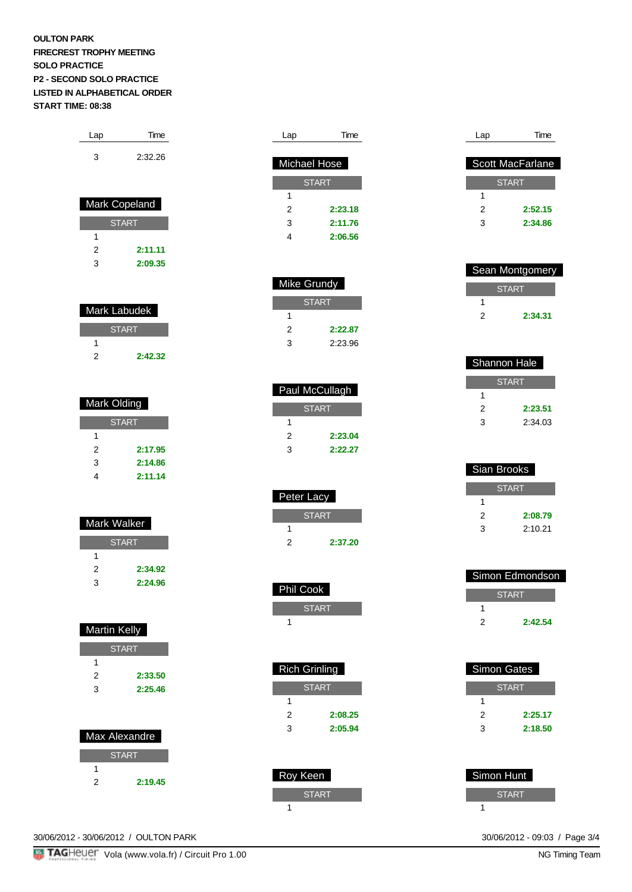| Lap | Time    |
|-----|---------|
| з   | 2:32.26 |

| <b>Mark Copeland</b> |         |  |
|----------------------|---------|--|
| START                |         |  |
| 1                    |         |  |
| 2                    | 2:11.11 |  |
| з                    | 2:09.35 |  |

| Mark Labudek |         |  |
|--------------|---------|--|
| <b>START</b> |         |  |
|              |         |  |
|              | 2:42.32 |  |

| Mark Olding  |         |  |
|--------------|---------|--|
| <b>START</b> |         |  |
| 1            |         |  |
| 2            | 2:17.95 |  |
| 3            | 2:14.86 |  |
| 4            | 2:11.14 |  |
|              |         |  |

| Mark Walker  |         |  |
|--------------|---------|--|
| <b>START</b> |         |  |
| 1            |         |  |
| 2            | 2:34.92 |  |
| 3            | 2:24.96 |  |

| <b>Martin Kelly</b> |              |  |
|---------------------|--------------|--|
|                     | <b>START</b> |  |
| 1                   |              |  |
| 2                   | 2:33.50      |  |
| 3                   | 2:25.46      |  |
|                     |              |  |
|                     |              |  |
|                     |              |  |
| Max Alexandre       |              |  |
|                     | <b>START</b> |  |
|                     |              |  |

2 **2:19.45**

| Paul McCullagh |              |
|----------------|--------------|
|                | <b>START</b> |
| 1              |              |
| 2              | 2:23.04      |

| <b>Peter Lacy</b> |         |  |
|-------------------|---------|--|
| <b>START</b>      |         |  |
|                   |         |  |
|                   | 2:37.20 |  |

Lap Time

2 **2:23.18** 3 **2:11.76** 4 **2:06.56**

 Michael Hose START

Mike Grundy

**START** 

2 **2:22.87** 3 2:23.96

3 **2:22.27**

1

1

| <b>Phil Cook</b>     |         |
|----------------------|---------|
| <b>START</b>         |         |
| 1                    |         |
|                      |         |
|                      |         |
| <b>Rich Grinling</b> |         |
|                      |         |
| <b>START</b>         |         |
| 1                    |         |
| 2                    | 2:08.25 |
| 3                    | 2:05.94 |
|                      |         |

| Roy Keen     |
|--------------|
| <b>START</b> |
|              |

| Lap | Time                    |
|-----|-------------------------|
|     |                         |
|     | <b>Scott MacFarlane</b> |
|     | <b>START</b>            |
|     |                         |
| 1   |                         |
| 2   | 2:52.15                 |
| 3   | 2:34.86                 |
|     |                         |

| <b>Sean Montgomery</b> |         |
|------------------------|---------|
| <b>START</b>           |         |
|                        |         |
| 2                      | 2:34.31 |

| Shannon Hale |         |
|--------------|---------|
| <b>START</b> |         |
|              |         |
| 2            | 2:23.51 |
| κ            | 2:34.03 |

| Sian Brooks  |         |
|--------------|---------|
| <b>START</b> |         |
|              |         |
| 2            | 2:08.79 |
| 3            | 2:10.21 |

| Simon Edmondson |         |
|-----------------|---------|
| START           |         |
|                 |         |
| 2               | 2:42.54 |

| Simon Hunt   |  |
|--------------|--|
| <b>START</b> |  |
|              |  |

30/06/2012 - 30/06/2012 / OULTON PARK

**TAGHEUET** Vola (www.vola.fr) / Circuit Pro 1.00

30/06/2012 - 09:03 / Page 3/4<br>NG Timing Team